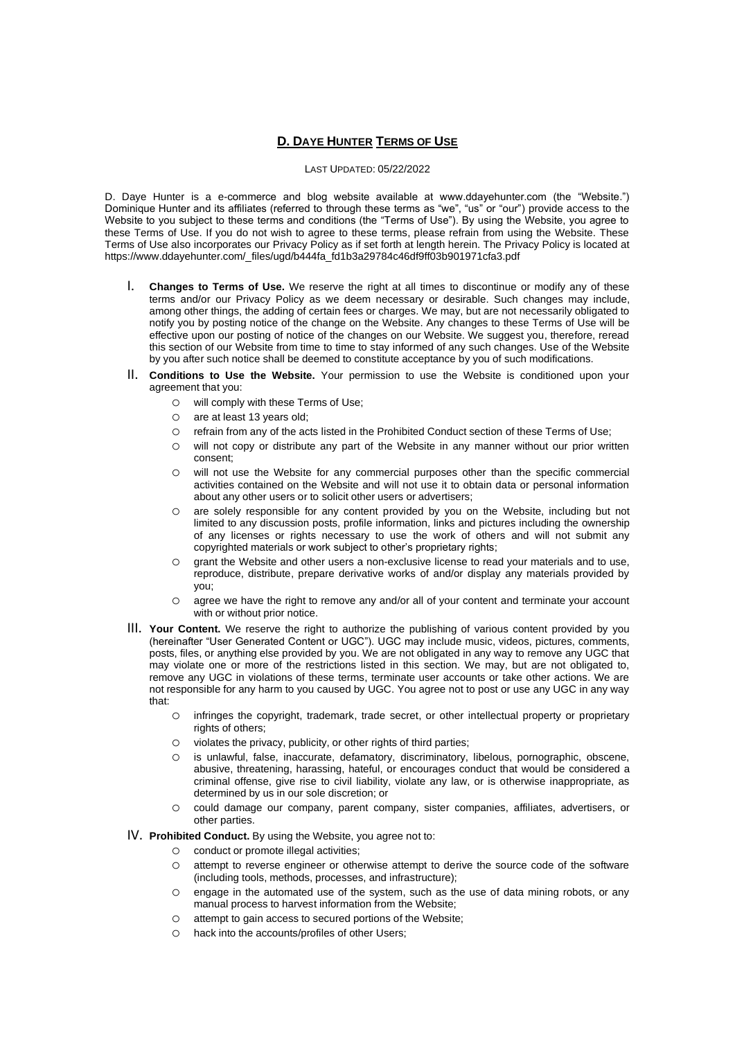# **D. DAYE HUNTER TERMS OF USE**

### LAST UPDATED: 05/22/2022

D. Daye Hunter is a e-commerce and blog website available at www.ddayehunter.com (the "Website.") Dominique Hunter and its affiliates (referred to through these terms as "we", "us" or "our") provide access to the Website to you subject to these terms and conditions (the "Terms of Use"). By using the Website, you agree to these Terms of Use. If you do not wish to agree to these terms, please refrain from using the Website. These Terms of Use also incorporates our Privacy Policy as if set forth at length herein. The Privacy Policy is located at https://www.ddayehunter.com/\_files/ugd/b444fa\_fd1b3a29784c46df9ff03b901971cfa3.pdf

- I. **Changes to Terms of Use.** We reserve the right at all times to discontinue or modify any of these terms and/or our Privacy Policy as we deem necessary or desirable. Such changes may include, among other things, the adding of certain fees or charges. We may, but are not necessarily obligated to notify you by posting notice of the change on the Website. Any changes to these Terms of Use will be effective upon our posting of notice of the changes on our Website. We suggest you, therefore, reread this section of our Website from time to time to stay informed of any such changes. Use of the Website by you after such notice shall be deemed to constitute acceptance by you of such modifications.
- II. **Conditions to Use the Website.** Your permission to use the Website is conditioned upon your agreement that you:
	- o will comply with these Terms of Use;
	- o are at least 13 years old;
	- o refrain from any of the acts listed in the Prohibited Conduct section of these Terms of Use;
	- o will not copy or distribute any part of the Website in any manner without our prior written consent;
	- o will not use the Website for any commercial purposes other than the specific commercial activities contained on the Website and will not use it to obtain data or personal information about any other users or to solicit other users or advertisers;
	- o are solely responsible for any content provided by you on the Website, including but not limited to any discussion posts, profile information, links and pictures including the ownership of any licenses or rights necessary to use the work of others and will not submit any copyrighted materials or work subject to other's proprietary rights;
	- o grant the Website and other users a non-exclusive license to read your materials and to use, reproduce, distribute, prepare derivative works of and/or display any materials provided by you;
	- o agree we have the right to remove any and/or all of your content and terminate your account with or without prior notice.
- III. **Your Content.** We reserve the right to authorize the publishing of various content provided by you (hereinafter "User Generated Content or UGC"). UGC may include music, videos, pictures, comments, posts, files, or anything else provided by you. We are not obligated in any way to remove any UGC that may violate one or more of the restrictions listed in this section. We may, but are not obligated to, remove any UGC in violations of these terms, terminate user accounts or take other actions. We are not responsible for any harm to you caused by UGC. You agree not to post or use any UGC in any way that:
	- o infringes the copyright, trademark, trade secret, or other intellectual property or proprietary rights of others;
	- o violates the privacy, publicity, or other rights of third parties;
	- o is unlawful, false, inaccurate, defamatory, discriminatory, libelous, pornographic, obscene, abusive, threatening, harassing, hateful, or encourages conduct that would be considered a criminal offense, give rise to civil liability, violate any law, or is otherwise inappropriate, as determined by us in our sole discretion; or
	- o could damage our company, parent company, sister companies, affiliates, advertisers, or other parties.

# IV. **Prohibited Conduct.** By using the Website, you agree not to:

- o conduct or promote illegal activities;
- o attempt to reverse engineer or otherwise attempt to derive the source code of the software (including tools, methods, processes, and infrastructure);
- o engage in the automated use of the system, such as the use of data mining robots, or any manual process to harvest information from the Website;
- o attempt to gain access to secured portions of the Website;
- o hack into the accounts/profiles of other Users;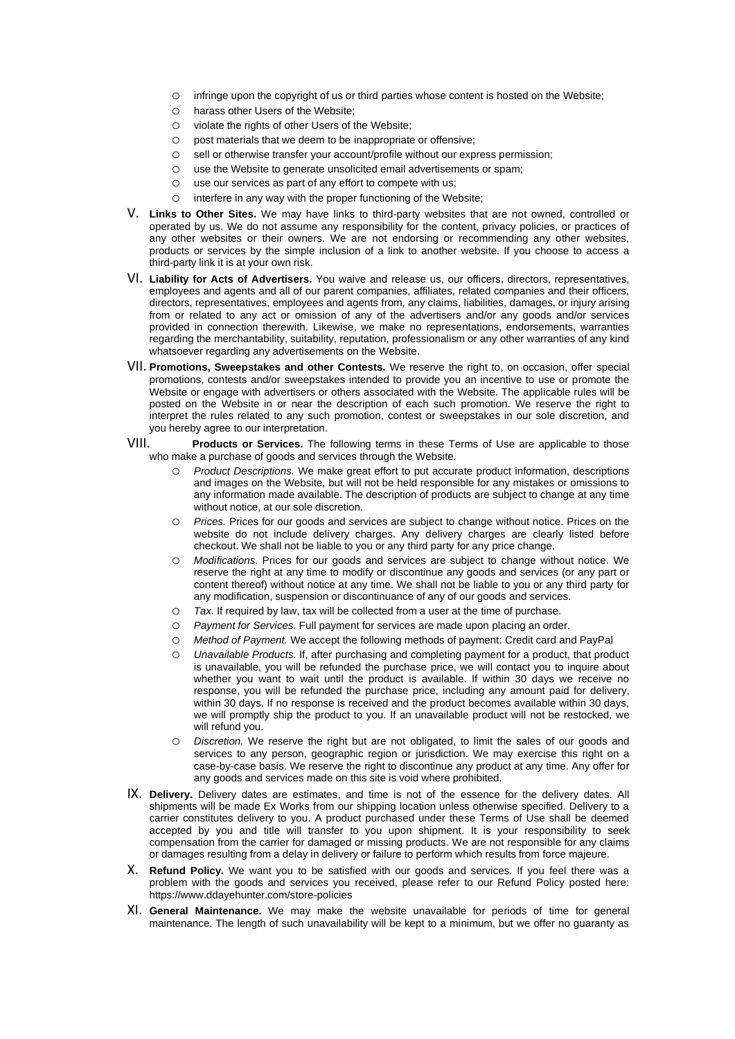- o infringe upon the copyright of us or third parties whose content is hosted on the Website;
- o harass other Users of the Website;
- o violate the rights of other Users of the Website;
- o post materials that we deem to be inappropriate or offensive;
- o sell or otherwise transfer your account/profile without our express permission;
- o use the Website to generate unsolicited email advertisements or spam;
- o use our services as part of any effort to compete with us;
- o interfere in any way with the proper functioning of the Website;
- V. **Links to Other Sites.** We may have links to third-party websites that are not owned, controlled or operated by us. We do not assume any responsibility for the content, privacy policies, or practices of any other websites or their owners. We are not endorsing or recommending any other websites, products or services by the simple inclusion of a link to another website. If you choose to access a third-party link it is at your own risk.
- VI. **Liability for Acts of Advertisers.** You waive and release us, our officers, directors, representatives, employees and agents and all of our parent companies, affiliates, related companies and their officers, directors, representatives, employees and agents from, any claims, liabilities, damages, or injury arising from or related to any act or omission of any of the advertisers and/or any goods and/or services provided in connection therewith. Likewise, we make no representations, endorsements, warranties regarding the merchantability, suitability, reputation, professionalism or any other warranties of any kind whatsoever regarding any advertisements on the Website..
- VII. **Promotions, Sweepstakes and other Contests.** We reserve the right to, on occasion, offer special promotions, contests and/or sweepstakes intended to provide you an incentive to use or promote the Website or engage with advertisers or others associated with the Website. The applicable rules will be posted on the Website in or near the description of each such promotion. We reserve the right to interpret the rules related to any such promotion, contest or sweepstakes in our sole discretion, and you hereby agree to our interpretation.
- VIII. **Products or Services.** The following terms in these Terms of Use are applicable to those who make a purchase of goods and services through the Website.
	- o *Product Descriptions.* We make great effort to put accurate product information, descriptions and images on the Website, but will not be held responsible for any mistakes or omissions to any information made available. The description of products are subject to change at any time without notice, at our sole discretion.
	- o *Prices.* Prices for our goods and services are subject to change without notice. Prices on the website do not include delivery charges. Any delivery charges are clearly listed before checkout. We shall not be liable to you or any third party for any price change.
	- o *Modifications.* Prices for our goods and services are subject to change without notice. We reserve the right at any time to modify or discontinue any goods and services (or any part or content thereof) without notice at any time. We shall not be liable to you or any third party for any modification, suspension or discontinuance of any of our goods and services.
	- o *Tax.* If required by law, tax will be collected from a user at the time of purchase..
	- o *Payment for Services.* Full payment for services are made upon placing an order..
	- o *Method of Payment.* We accept the following methods of payment: Credit card and PayPal
	- o *Unavailable Products.* If, after purchasing and completing payment for a product, that product is unavailable, you will be refunded the purchase price, we will contact you to inquire about whether you want to wait until the product is available. If within 30 days we receive no response, you will be refunded the purchase price, including any amount paid for delivery, within 30 days. If no response is received and the product becomes available within 30 days, we will promptly ship the product to you. If an unavailable product will not be restocked, we will refund you..
	- o *Discretion.* We reserve the right but are not obligated, to limit the sales of our goods and services to any person, geographic region or jurisdiction. We may exercise this right on a case-by-case basis. We reserve the right to discontinue any product at any time. Any offer for any goods and services made on this site is void where prohibited.
- IX. **Delivery.** Delivery dates are estimates, and time is not of the essence for the delivery dates. All shipments will be made Ex Works from our shipping location unless otherwise specified. Delivery to a carrier constitutes delivery to you. A product purchased under these Terms of Use shall be deemed accepted by you and title will transfer to you upon shipment. It is your responsibility to seek compensation from the carrier for damaged or missing products. We are not responsible for any claims or damages resulting from a delay in delivery or failure to perform which results from force majeure.
- X. **Refund Policy.** We want you to be satisfied with our goods and services. If you feel there was a problem with the goods and services you received, please refer to our Refund Policy posted here: https://www.ddayehunter.com/store-policies
- XI. **General Maintenance.** We may make the website unavailable for periods of time for general maintenance. The length of such unavailability will be kept to a minimum, but we offer no guaranty as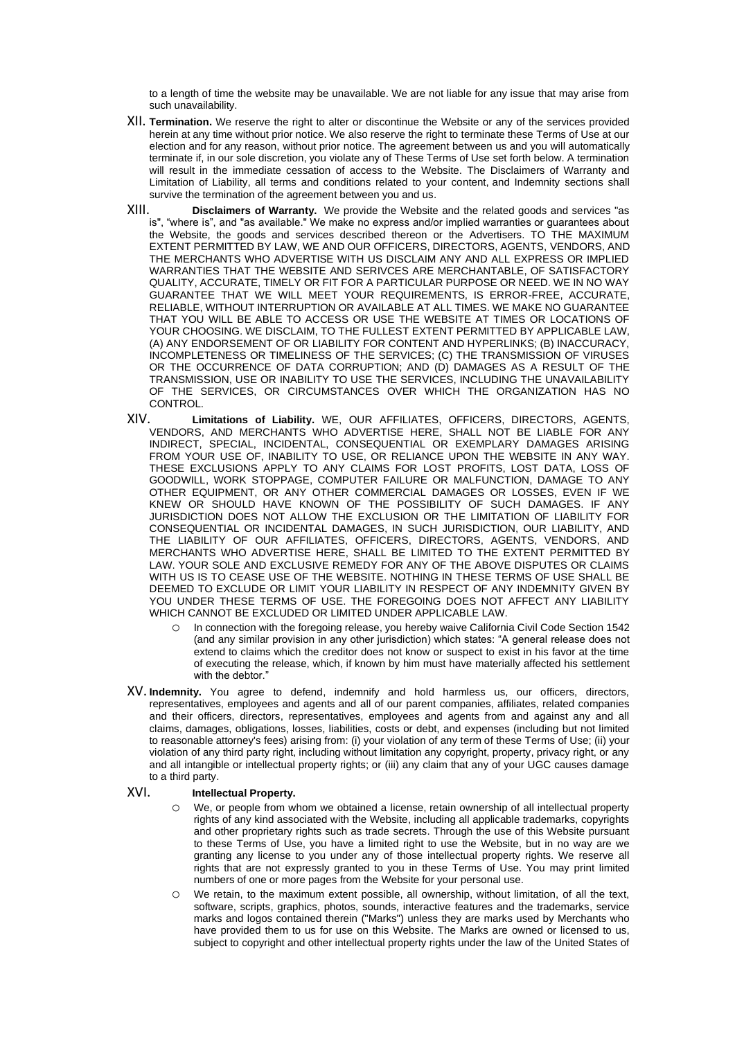to a length of time the website may be unavailable. We are not liable for any issue that may arise from such unavailability.

- XII. **Termination.** We reserve the right to alter or discontinue the Website or any of the services provided herein at any time without prior notice. We also reserve the right to terminate these Terms of Use at our election and for any reason, without prior notice. The agreement between us and you will automatically terminate if, in our sole discretion, you violate any of These Terms of Use set forth below. A termination will result in the immediate cessation of access to the Website. The Disclaimers of Warranty and Limitation of Liability, all terms and conditions related to your content, and Indemnity sections shall survive the termination of the agreement between you and us.
- XIII. **Disclaimers of Warranty.** We provide the Website and the related goods and services "as is", "where is", and "as available." We make no express and/or implied warranties or guarantees about the Website, the goods and services described thereon or the Advertisers. TO THE MAXIMUM EXTENT PERMITTED BY LAW, WE AND OUR OFFICERS, DIRECTORS, AGENTS, VENDORS, AND THE MERCHANTS WHO ADVERTISE WITH US DISCLAIM ANY AND ALL EXPRESS OR IMPLIED WARRANTIES THAT THE WEBSITE AND SERIVCES ARE MERCHANTABLE, OF SATISFACTORY QUALITY, ACCURATE, TIMELY OR FIT FOR A PARTICULAR PURPOSE OR NEED. WE IN NO WAY GUARANTEE THAT WE WILL MEET YOUR REQUIREMENTS, IS ERROR-FREE, ACCURATE, RELIABLE, WITHOUT INTERRUPTION OR AVAILABLE AT ALL TIMES. WE MAKE NO GUARANTEE THAT YOU WILL BE ABLE TO ACCESS OR USE THE WEBSITE AT TIMES OR LOCATIONS OF YOUR CHOOSING. WE DISCLAIM, TO THE FULLEST EXTENT PERMITTED BY APPLICABLE LAW, (A) ANY ENDORSEMENT OF OR LIABILITY FOR CONTENT AND HYPERLINKS; (B) INACCURACY, INCOMPLETENESS OR TIMELINESS OF THE SERVICES; (C) THE TRANSMISSION OF VIRUSES OR THE OCCURRENCE OF DATA CORRUPTION; AND (D) DAMAGES AS A RESULT OF THE TRANSMISSION, USE OR INABILITY TO USE THE SERVICES, INCLUDING THE UNAVAILABILITY OF THE SERVICES, OR CIRCUMSTANCES OVER WHICH THE ORGANIZATION HAS NO CONTROL.
- XIV. **Limitations of Liability.** WE, OUR AFFILIATES, OFFICERS, DIRECTORS, AGENTS, VENDORS, AND MERCHANTS WHO ADVERTISE HERE, SHALL NOT BE LIABLE FOR ANY INDIRECT, SPECIAL, INCIDENTAL, CONSEQUENTIAL OR EXEMPLARY DAMAGES ARISING FROM YOUR USE OF, INABILITY TO USE, OR RELIANCE UPON THE WEBSITE IN ANY WAY. THESE EXCLUSIONS APPLY TO ANY CLAIMS FOR LOST PROFITS, LOST DATA, LOSS OF GOODWILL, WORK STOPPAGE, COMPUTER FAILURE OR MALFUNCTION, DAMAGE TO ANY OTHER EQUIPMENT, OR ANY OTHER COMMERCIAL DAMAGES OR LOSSES, EVEN IF WE KNEW OR SHOULD HAVE KNOWN OF THE POSSIBILITY OF SUCH DAMAGES. IF ANY JURISDICTION DOES NOT ALLOW THE EXCLUSION OR THE LIMITATION OF LIABILITY FOR CONSEQUENTIAL OR INCIDENTAL DAMAGES, IN SUCH JURISDICTION, OUR LIABILITY, AND THE LIABILITY OF OUR AFFILIATES, OFFICERS, DIRECTORS, AGENTS, VENDORS, AND MERCHANTS WHO ADVERTISE HERE, SHALL BE LIMITED TO THE EXTENT PERMITTED BY LAW. YOUR SOLE AND EXCLUSIVE REMEDY FOR ANY OF THE ABOVE DISPUTES OR CLAIMS WITH US IS TO CEASE USE OF THE WEBSITE. NOTHING IN THESE TERMS OF USE SHALL BE DEEMED TO EXCLUDE OR LIMIT YOUR LIABILITY IN RESPECT OF ANY INDEMNITY GIVEN BY YOU UNDER THESE TERMS OF USE. THE FOREGOING DOES NOT AFFECT ANY LIABILITY WHICH CANNOT BE EXCLUDED OR LIMITED UNDER APPLICABLE LAW.
	- o In connection with the foregoing release, you hereby waive California Civil Code Section 1542 (and any similar provision in any other jurisdiction) which states: "A general release does not extend to claims which the creditor does not know or suspect to exist in his favor at the time of executing the release, which, if known by him must have materially affected his settlement with the debtor."
- XV. **Indemnity.** You agree to defend, indemnify and hold harmless us, our officers, directors, representatives, employees and agents and all of our parent companies, affiliates, related companies and their officers, directors, representatives, employees and agents from and against any and all claims, damages, obligations, losses, liabilities, costs or debt, and expenses (including but not limited to reasonable attorney's fees) arising from: (i) your violation of any term of these Terms of Use; (ii) your violation of any third party right, including without limitation any copyright, property, privacy right, or any and all intangible or intellectual property rights; or (iii) any claim that any of your UGC causes damage to a third party.

- XVI. **Intellectual Property.**
	- $\circ$  We, or people from whom we obtained a license, retain ownership of all intellectual property rights of any kind associated with the Website, including all applicable trademarks, copyrights and other proprietary rights such as trade secrets. Through the use of this Website pursuant to these Terms of Use, you have a limited right to use the Website, but in no way are we granting any license to you under any of those intellectual property rights. We reserve all rights that are not expressly granted to you in these Terms of Use. You may print limited numbers of one or more pages from the Website for your personal use.
	- o We retain, to the maximum extent possible, all ownership, without limitation, of all the text, software, scripts, graphics, photos, sounds, interactive features and the trademarks, service marks and logos contained therein ("Marks") unless they are marks used by Merchants who have provided them to us for use on this Website. The Marks are owned or licensed to us, subject to copyright and other intellectual property rights under the law of the United States of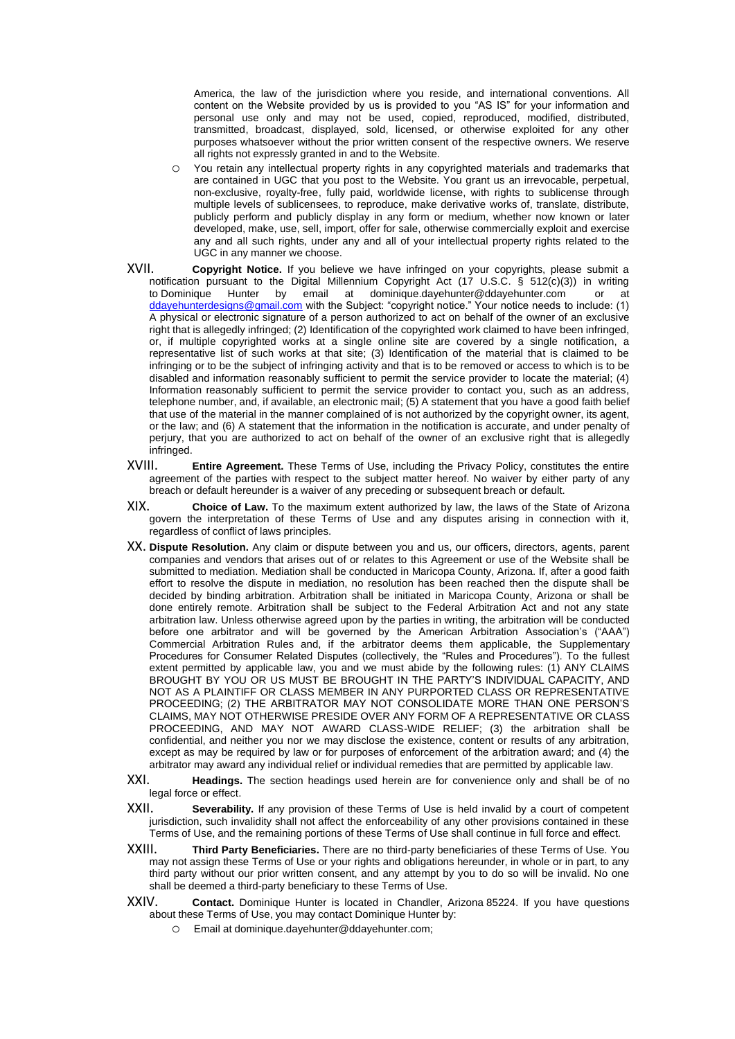America, the law of the jurisdiction where you reside, and international conventions. All content on the Website provided by us is provided to you "AS IS" for your information and personal use only and may not be used, copied, reproduced, modified, distributed, transmitted, broadcast, displayed, sold, licensed, or otherwise exploited for any other purposes whatsoever without the prior written consent of the respective owners. We reserve all rights not expressly granted in and to the Website.

- o You retain any intellectual property rights in any copyrighted materials and trademarks that are contained in UGC that you post to the Website. You grant us an irrevocable, perpetual, non-exclusive, royalty-free, fully paid, worldwide license, with rights to sublicense through multiple levels of sublicensees, to reproduce, make derivative works of, translate, distribute, publicly perform and publicly display in any form or medium, whether now known or later developed, make, use, sell, import, offer for sale, otherwise commercially exploit and exercise any and all such rights, under any and all of your intellectual property rights related to the UGC in any manner we choose..
- XVII. **Copyright Notice.** If you believe we have infringed on your copyrights, please submit a notification pursuant to the Digital Millennium Copyright Act (17 U.S.C. § 512(c)(3)) in writing to.Dominique Hunter by email at dominique.dayehunter@ddayehunter.com or at [ddayehunterdesigns@gmail.com](mailto:ddayehunterdesigns@gmail.com) with the Subject: "copyright notice." Your notice needs to include: (1) A physical or electronic signature of a person authorized to act on behalf of the owner of an exclusive right that is allegedly infringed; (2) Identification of the copyrighted work claimed to have been infringed, or, if multiple copyrighted works at a single online site are covered by a single notification, a representative list of such works at that site; (3) Identification of the material that is claimed to be infringing or to be the subject of infringing activity and that is to be removed or access to which is to be disabled and information reasonably sufficient to permit the service provider to locate the material; (4) Information reasonably sufficient to permit the service provider to contact you, such as an address, telephone number, and, if available, an electronic mail; (5) A statement that you have a good faith belief that use of the material in the manner complained of is not authorized by the copyright owner, its agent, or the law; and (6) A statement that the information in the notification is accurate, and under penalty of perjury, that you are authorized to act on behalf of the owner of an exclusive right that is allegedly infringed..
- XVIII. **Entire Agreement.** These Terms of Use, including the Privacy Policy, constitutes the entire agreement of the parties with respect to the subject matter hereof. No waiver by either party of any breach or default hereunder is a waiver of any preceding or subsequent breach or default.
- XIX. **Choice of Law.** To the maximum extent authorized by law, the laws of the State of Arizona govern the interpretation of these Terms of Use and any disputes arising in connection with it, regardless of conflict of laws principles.
- XX. **Dispute Resolution.** Any claim or dispute between you and us, our officers, directors, agents, parent companies and vendors that arises out of or relates to this Agreement or use of the Website shall be submitted to mediation. Mediation shall be conducted in Maricopa County, Arizona..If, after a good faith effort to resolve the dispute in mediation, no resolution has been reached then the dispute shall be decided by binding arbitration. Arbitration shall be initiated in Maricopa County, Arizona or shall be done entirely remote. Arbitration shall be subject to the Federal Arbitration Act and not any state arbitration law. Unless otherwise agreed upon by the parties in writing, the arbitration will be conducted before one arbitrator and will be governed by the American Arbitration Association's ("AAA") Commercial Arbitration Rules and, if the arbitrator deems them applicable, the Supplementary Procedures for Consumer Related Disputes (collectively, the "Rules and Procedures"). To the fullest extent permitted by applicable law, you and we must abide by the following rules: (1) ANY CLAIMS BROUGHT BY YOU OR US MUST BE BROUGHT IN THE PARTY'S INDIVIDUAL CAPACITY, AND NOT AS A PLAINTIFF OR CLASS MEMBER IN ANY PURPORTED CLASS OR REPRESENTATIVE PROCEEDING; (2) THE ARBITRATOR MAY NOT CONSOLIDATE MORE THAN ONE PERSON'S CLAIMS, MAY NOT OTHERWISE PRESIDE OVER ANY FORM OF A REPRESENTATIVE OR CLASS PROCEEDING, AND MAY NOT AWARD CLASS-WIDE RELIEF; (3) the arbitration shall be confidential, and neither you nor we may disclose the existence, content or results of any arbitration, except as may be required by law or for purposes of enforcement of the arbitration award; and (4) the arbitrator may award any individual relief or individual remedies that are permitted by applicable law..
- XXI. **Headings.** The section headings used herein are for convenience only and shall be of no legal force or effect.
- XXII. **Severability.** If any provision of these Terms of Use is held invalid by a court of competent jurisdiction, such invalidity shall not affect the enforceability of any other provisions contained in these Terms of Use, and the remaining portions of these Terms of Use shall continue in full force and effect.
- XXIII. **Third Party Beneficiaries.** There are no third-party beneficiaries of these Terms of Use. You may not assign these Terms of Use or your rights and obligations hereunder, in whole or in part, to any third party without our prior written consent, and any attempt by you to do so will be invalid. No one shall be deemed a third-party beneficiary to these Terms of Use.
- XXIV. **Contact.** Dominique Hunter is located in Chandler, Arizona 85224. If you have questions about these Terms of Use, you may contact Dominique Hunter by:
	- o Email at dominique.dayehunter@ddayehunter.com;